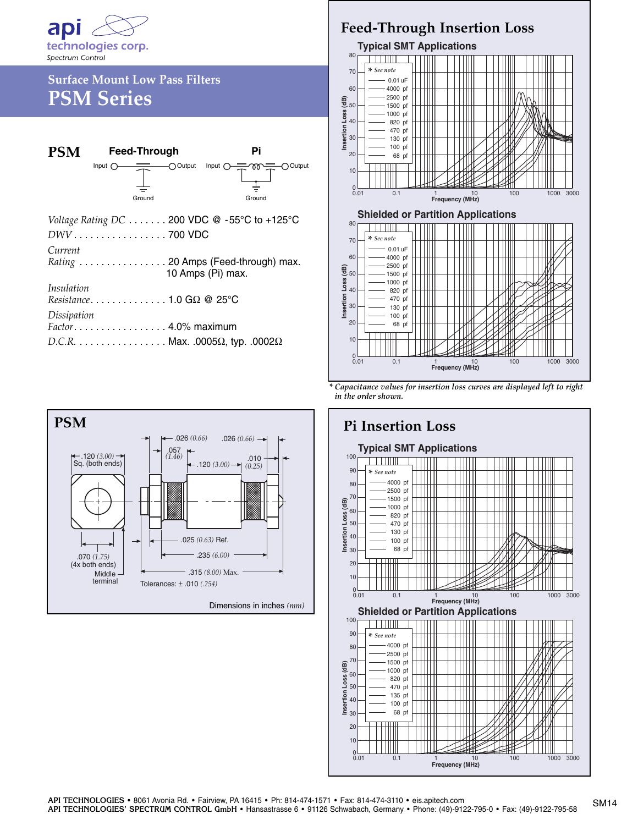

## **Surface Mount Low Pass Filters PSM Series**

| <b>PSM</b>                                         | Feed-Through                        | Pi                                                 |
|----------------------------------------------------|-------------------------------------|----------------------------------------------------|
|                                                    | Input $\bigcap$<br>Ground           | O Output Input O-COO<br>$\bigcap$ Output<br>Ground |
| Voltage Rating DC 200 VDC @ -55°C to +125°C        |                                     |                                                    |
| DWV700 VDC                                         |                                     |                                                    |
| Current                                            | Rating  20 Amps (Feed-through) max. | 10 Amps (Pi) max.                                  |
| <i>Insulation</i>                                  | Resistance1.0 G $\Omega$ @ 25°C     |                                                    |
| Dissipation                                        | Factor. 4.0% maximum                |                                                    |
| $D.C.R.$ Max. .0005 $\Omega$ , typ. .0002 $\Omega$ |                                     |                                                    |



## **Feed-Through Insertion Loss**



*<sup>\*</sup> Capacitance values for insertion loss curves are displayed left to right in the order shown.*

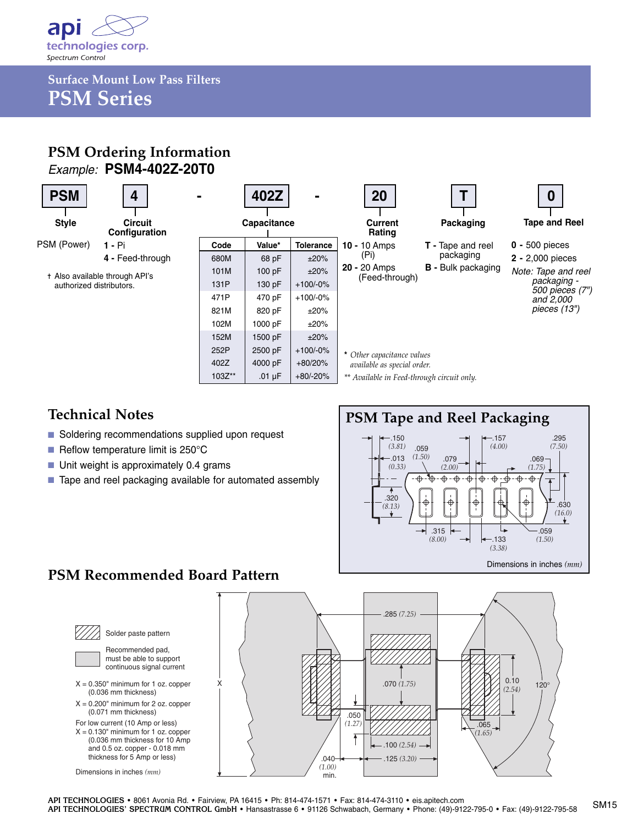

**Surface Mount Low Pass Filters PSM Series**

### **PSM Ordering Information** *Example:* **PSM4-402Z-20T0**



#### **Technical Notes**

- Soldering recommendations supplied upon request
- Reflow temperature limit is 250°C
- Unit weight is approximately 0.4 grams
- Tape and reel packaging available for automated assembly



## **PSM Recommended Board Pattern**



Solder paste pattern Recommended pad, must be able to support

continuous signal current  $X = 0.350$ " minimum for 1 oz. copper

- (0.036 mm thickness)  $X = 0.200$ " minimum for 2 oz. copper
- (0.071 mm thickness) For low current (10 Amp or less)

 $X = 0.130$ " minimum for 1 oz. copper (0.036 mm thickness for 10 Amp and 0.5 oz. copper - 0.018 mm thickness for 5 Amp or less)

Dimensions in inches *(mm)*